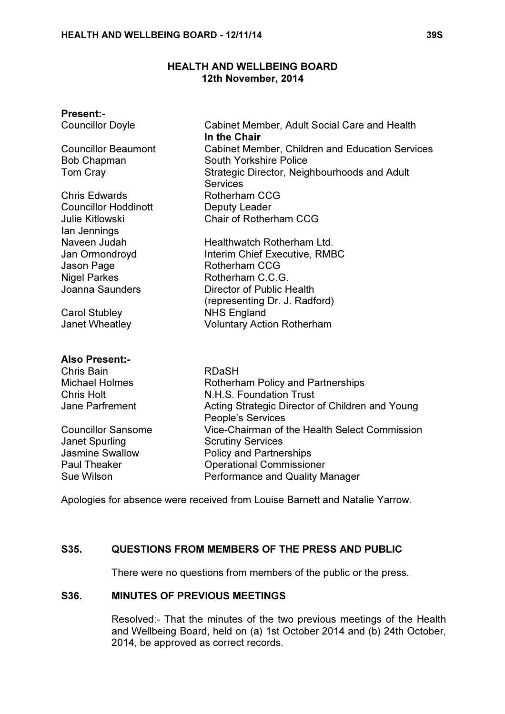## HEALTH AND WELLBEING BOARD 12th November, 2014

| <b>Present:-</b>                  |                                                              |
|-----------------------------------|--------------------------------------------------------------|
| <b>Councillor Doyle</b>           | Cabinet Member, Adult Social Care and Health<br>In the Chair |
| <b>Councillor Beaumont</b>        | <b>Cabinet Member, Children and Education Services</b>       |
| <b>Bob Chapman</b>                | South Yorkshire Police                                       |
| Tom Cray                          | Strategic Director, Neighbourhoods and Adult                 |
|                                   | <b>Services</b>                                              |
| <b>Chris Edwards</b>              | <b>Rotherham CCG</b>                                         |
| <b>Councillor Hoddinott</b>       | Deputy Leader                                                |
| <b>Julie Kitlowski</b>            | Chair of Rotherham CCG                                       |
| lan Jennings                      |                                                              |
| Naveen Judah                      | Healthwatch Rotherham Ltd.                                   |
| Jan Ormondroyd                    | Interim Chief Executive, RMBC<br>Rotherham CCG               |
| Jason Page<br><b>Nigel Parkes</b> | Rotherham C.C.G.                                             |
| Joanna Saunders                   | Director of Public Health                                    |
|                                   | (representing Dr. J. Radford)                                |
| <b>Carol Stubley</b>              | <b>NHS England</b>                                           |
| Janet Wheatley                    | <b>Voluntary Action Rotherham</b>                            |
|                                   |                                                              |
| <b>Also Present:-</b>             |                                                              |
| Chris Bain                        | <b>RDaSH</b>                                                 |
| <b>Michael Holmes</b>             | <b>Rotherham Policy and Partnerships</b>                     |
| <b>Chris Holt</b>                 | N.H.S. Foundation Trust                                      |
| <b>Jane Parfrement</b>            | Acting Strategic Director of Children and Young              |
|                                   | People's Services                                            |
| <b>Councillor Sansome</b>         | Vice-Chairman of the Health Select Commission                |
| <b>Janet Spurling</b>             | <b>Scrutiny Services</b>                                     |
| <b>Jasmine Swallow</b>            | <b>Policy and Partnerships</b>                               |
| <b>Paul Theaker</b>               | <b>Operational Commissioner</b>                              |
| <b>Sue Wilson</b>                 | <b>Performance and Quality Manager</b>                       |

Apologies for absence were received from Louise Barnett and Natalie Yarrow.

# S35. QUESTIONS FROM MEMBERS OF THE PRESS AND PUBLIC

There were no questions from members of the public or the press.

## S36. MINUTES OF PREVIOUS MEETINGS

 Resolved:- That the minutes of the two previous meetings of the Health and Wellbeing Board, held on (a) 1st October 2014 and (b) 24th October, 2014, be approved as correct records.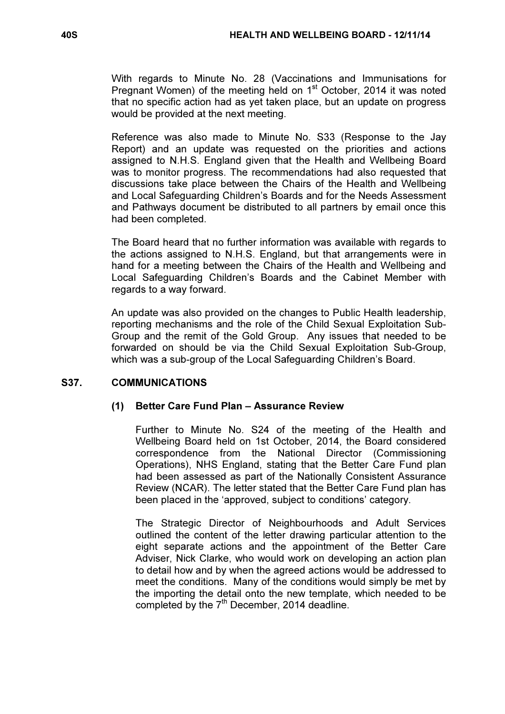With regards to Minute No. 28 (Vaccinations and Immunisations for Pregnant Women) of the meeting held on 1<sup>st</sup> October, 2014 it was noted that no specific action had as yet taken place, but an update on progress would be provided at the next meeting.

Reference was also made to Minute No. S33 (Response to the Jay Report) and an update was requested on the priorities and actions assigned to N.H.S. England given that the Health and Wellbeing Board was to monitor progress. The recommendations had also requested that discussions take place between the Chairs of the Health and Wellbeing and Local Safeguarding Children's Boards and for the Needs Assessment and Pathways document be distributed to all partners by email once this had been completed.

The Board heard that no further information was available with regards to the actions assigned to N.H.S. England, but that arrangements were in hand for a meeting between the Chairs of the Health and Wellbeing and Local Safeguarding Children's Boards and the Cabinet Member with regards to a way forward.

An update was also provided on the changes to Public Health leadership, reporting mechanisms and the role of the Child Sexual Exploitation Sub-Group and the remit of the Gold Group. Any issues that needed to be forwarded on should be via the Child Sexual Exploitation Sub-Group, which was a sub-group of the Local Safeguarding Children's Board.

# S37. COMMUNICATIONS

## (1) Better Care Fund Plan – Assurance Review

 Further to Minute No. S24 of the meeting of the Health and Wellbeing Board held on 1st October, 2014, the Board considered correspondence from the National Director (Commissioning Operations), NHS England, stating that the Better Care Fund plan had been assessed as part of the Nationally Consistent Assurance Review (NCAR). The letter stated that the Better Care Fund plan has been placed in the 'approved, subject to conditions' category.

 The Strategic Director of Neighbourhoods and Adult Services outlined the content of the letter drawing particular attention to the eight separate actions and the appointment of the Better Care Adviser, Nick Clarke, who would work on developing an action plan to detail how and by when the agreed actions would be addressed to meet the conditions. Many of the conditions would simply be met by the importing the detail onto the new template, which needed to be completed by the  $7<sup>th</sup>$  December, 2014 deadline.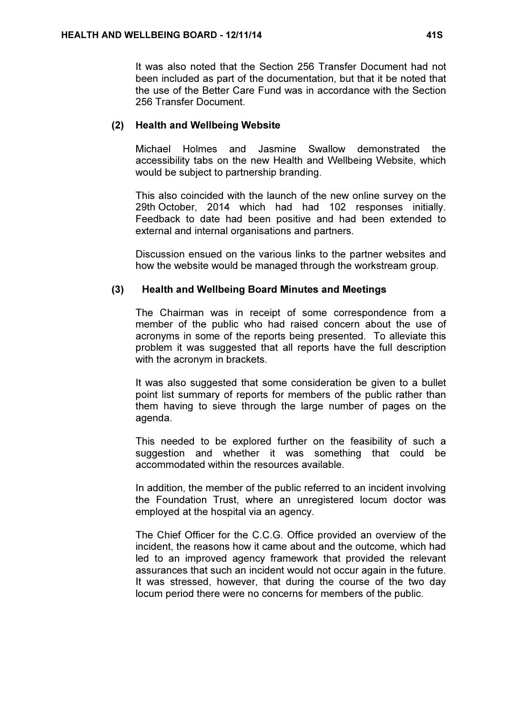It was also noted that the Section 256 Transfer Document had not been included as part of the documentation, but that it be noted that the use of the Better Care Fund was in accordance with the Section 256 Transfer Document.

#### (2) Health and Wellbeing Website

 Michael Holmes and Jasmine Swallow demonstrated the accessibility tabs on the new Health and Wellbeing Website, which would be subject to partnership branding.

 This also coincided with the launch of the new online survey on the 29th October, 2014 which had had 102 responses initially. Feedback to date had been positive and had been extended to external and internal organisations and partners.

 Discussion ensued on the various links to the partner websites and how the website would be managed through the workstream group.

#### (3) Health and Wellbeing Board Minutes and Meetings

The Chairman was in receipt of some correspondence from a member of the public who had raised concern about the use of acronyms in some of the reports being presented. To alleviate this problem it was suggested that all reports have the full description with the acronym in brackets.

It was also suggested that some consideration be given to a bullet point list summary of reports for members of the public rather than them having to sieve through the large number of pages on the agenda.

This needed to be explored further on the feasibility of such a suggestion and whether it was something that could be accommodated within the resources available.

In addition, the member of the public referred to an incident involving the Foundation Trust, where an unregistered locum doctor was employed at the hospital via an agency.

The Chief Officer for the C.C.G. Office provided an overview of the incident, the reasons how it came about and the outcome, which had led to an improved agency framework that provided the relevant assurances that such an incident would not occur again in the future. It was stressed, however, that during the course of the two day locum period there were no concerns for members of the public.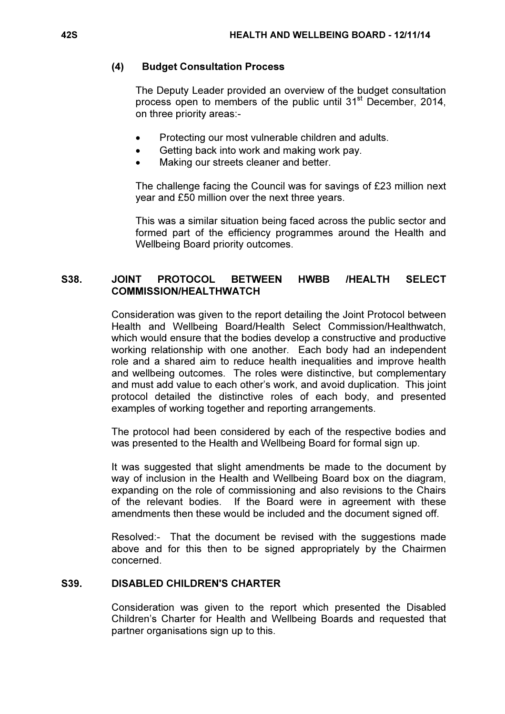# (4) Budget Consultation Process

The Deputy Leader provided an overview of the budget consultation process open to members of the public until 31<sup>st</sup> December, 2014, on three priority areas:-

- Protecting our most vulnerable children and adults.
- Getting back into work and making work pay.
- Making our streets cleaner and better.

The challenge facing the Council was for savings of £23 million next year and £50 million over the next three years.

This was a similar situation being faced across the public sector and formed part of the efficiency programmes around the Health and Wellbeing Board priority outcomes.

# S38. JOINT PROTOCOL BETWEEN HWBB /HEALTH SELECT COMMISSION/HEALTHWATCH

 Consideration was given to the report detailing the Joint Protocol between Health and Wellbeing Board/Health Select Commission/Healthwatch, which would ensure that the bodies develop a constructive and productive working relationship with one another. Each body had an independent role and a shared aim to reduce health inequalities and improve health and wellbeing outcomes. The roles were distinctive, but complementary and must add value to each other's work, and avoid duplication. This joint protocol detailed the distinctive roles of each body, and presented examples of working together and reporting arrangements.

The protocol had been considered by each of the respective bodies and was presented to the Health and Wellbeing Board for formal sign up.

It was suggested that slight amendments be made to the document by way of inclusion in the Health and Wellbeing Board box on the diagram, expanding on the role of commissioning and also revisions to the Chairs of the relevant bodies. If the Board were in agreement with these amendments then these would be included and the document signed off.

Resolved:- That the document be revised with the suggestions made above and for this then to be signed appropriately by the Chairmen concerned.

# S39. DISABLED CHILDREN'S CHARTER

 Consideration was given to the report which presented the Disabled Children's Charter for Health and Wellbeing Boards and requested that partner organisations sign up to this.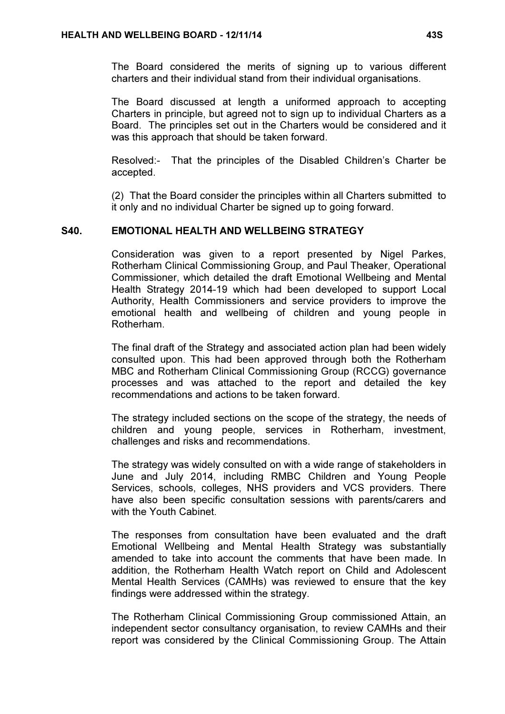The Board considered the merits of signing up to various different charters and their individual stand from their individual organisations.

The Board discussed at length a uniformed approach to accepting Charters in principle, but agreed not to sign up to individual Charters as a Board. The principles set out in the Charters would be considered and it was this approach that should be taken forward.

Resolved:- That the principles of the Disabled Children's Charter be accepted.

(2) That the Board consider the principles within all Charters submitted to it only and no individual Charter be signed up to going forward.

# S40. EMOTIONAL HEALTH AND WELLBEING STRATEGY

 Consideration was given to a report presented by Nigel Parkes, Rotherham Clinical Commissioning Group, and Paul Theaker, Operational Commissioner, which detailed the draft Emotional Wellbeing and Mental Health Strategy 2014-19 which had been developed to support Local Authority, Health Commissioners and service providers to improve the emotional health and wellbeing of children and young people in Rotherham.

The final draft of the Strategy and associated action plan had been widely consulted upon. This had been approved through both the Rotherham MBC and Rotherham Clinical Commissioning Group (RCCG) governance processes and was attached to the report and detailed the key recommendations and actions to be taken forward.

The strategy included sections on the scope of the strategy, the needs of children and young people, services in Rotherham, investment, challenges and risks and recommendations.

The strategy was widely consulted on with a wide range of stakeholders in June and July 2014, including RMBC Children and Young People Services, schools, colleges, NHS providers and VCS providers. There have also been specific consultation sessions with parents/carers and with the Youth Cabinet.

The responses from consultation have been evaluated and the draft Emotional Wellbeing and Mental Health Strategy was substantially amended to take into account the comments that have been made. In addition, the Rotherham Health Watch report on Child and Adolescent Mental Health Services (CAMHs) was reviewed to ensure that the key findings were addressed within the strategy.

The Rotherham Clinical Commissioning Group commissioned Attain, an independent sector consultancy organisation, to review CAMHs and their report was considered by the Clinical Commissioning Group. The Attain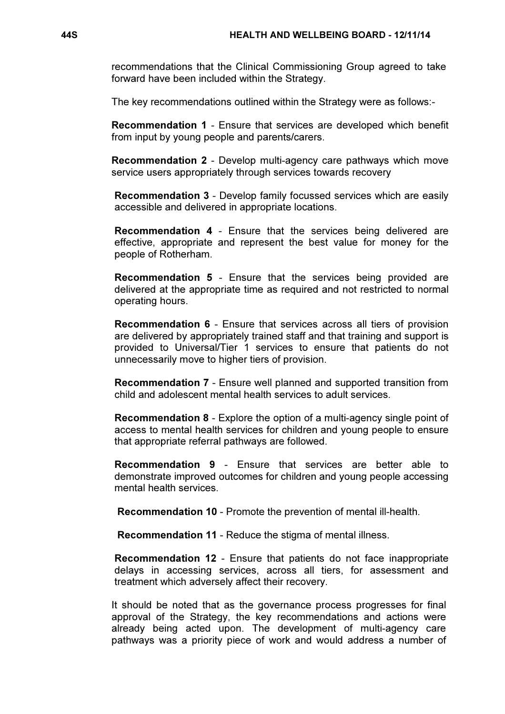recommendations that the Clinical Commissioning Group agreed to take forward have been included within the Strategy.

The key recommendations outlined within the Strategy were as follows:-

Recommendation 1 - Ensure that services are developed which benefit from input by young people and parents/carers.

Recommendation 2 - Develop multi-agency care pathways which move service users appropriately through services towards recovery

Recommendation 3 - Develop family focussed services which are easily accessible and delivered in appropriate locations.

Recommendation 4 - Ensure that the services being delivered are effective, appropriate and represent the best value for money for the people of Rotherham.

Recommendation 5 - Ensure that the services being provided are delivered at the appropriate time as required and not restricted to normal operating hours.

Recommendation 6 - Ensure that services across all tiers of provision are delivered by appropriately trained staff and that training and support is provided to Universal/Tier 1 services to ensure that patients do not unnecessarily move to higher tiers of provision.

Recommendation 7 - Ensure well planned and supported transition from child and adolescent mental health services to adult services.

Recommendation 8 - Explore the option of a multi-agency single point of access to mental health services for children and young people to ensure that appropriate referral pathways are followed.

Recommendation 9 - Ensure that services are better able to demonstrate improved outcomes for children and young people accessing mental health services.

Recommendation 10 - Promote the prevention of mental ill-health.

Recommendation 11 - Reduce the stigma of mental illness.

Recommendation 12 - Ensure that patients do not face inappropriate delays in accessing services, across all tiers, for assessment and treatment which adversely affect their recovery.

It should be noted that as the governance process progresses for final approval of the Strategy, the key recommendations and actions were already being acted upon. The development of multi-agency care pathways was a priority piece of work and would address a number of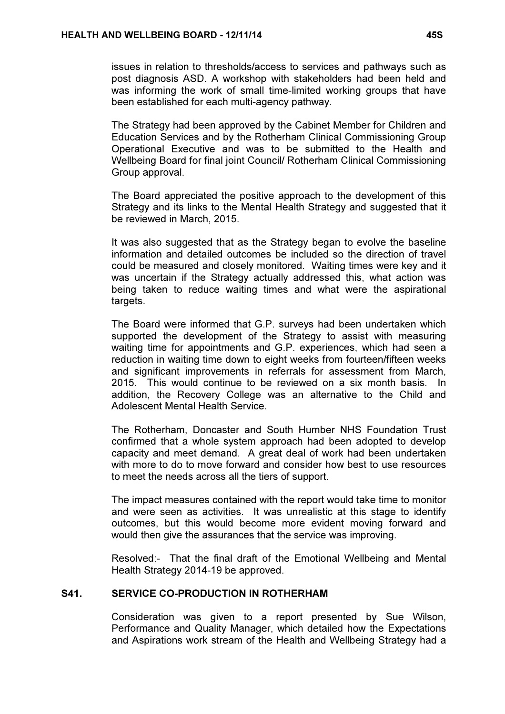issues in relation to thresholds/access to services and pathways such as post diagnosis ASD. A workshop with stakeholders had been held and was informing the work of small time-limited working groups that have been established for each multi-agency pathway.

The Strategy had been approved by the Cabinet Member for Children and Education Services and by the Rotherham Clinical Commissioning Group Operational Executive and was to be submitted to the Health and Wellbeing Board for final joint Council/ Rotherham Clinical Commissioning Group approval.

The Board appreciated the positive approach to the development of this Strategy and its links to the Mental Health Strategy and suggested that it be reviewed in March, 2015.

It was also suggested that as the Strategy began to evolve the baseline information and detailed outcomes be included so the direction of travel could be measured and closely monitored. Waiting times were key and it was uncertain if the Strategy actually addressed this, what action was being taken to reduce waiting times and what were the aspirational targets.

The Board were informed that G.P. surveys had been undertaken which supported the development of the Strategy to assist with measuring waiting time for appointments and G.P. experiences, which had seen a reduction in waiting time down to eight weeks from fourteen/fifteen weeks and significant improvements in referrals for assessment from March, 2015. This would continue to be reviewed on a six month basis. In addition, the Recovery College was an alternative to the Child and Adolescent Mental Health Service.

The Rotherham, Doncaster and South Humber NHS Foundation Trust confirmed that a whole system approach had been adopted to develop capacity and meet demand. A great deal of work had been undertaken with more to do to move forward and consider how best to use resources to meet the needs across all the tiers of support.

The impact measures contained with the report would take time to monitor and were seen as activities. It was unrealistic at this stage to identify outcomes, but this would become more evident moving forward and would then give the assurances that the service was improving.

Resolved:- That the final draft of the Emotional Wellbeing and Mental Health Strategy 2014-19 be approved.

## S41. SERVICE CO-PRODUCTION IN ROTHERHAM

 Consideration was given to a report presented by Sue Wilson, Performance and Quality Manager, which detailed how the Expectations and Aspirations work stream of the Health and Wellbeing Strategy had a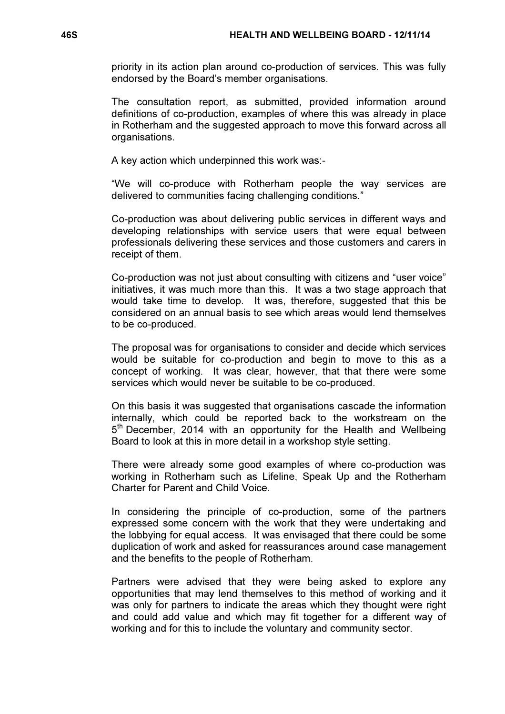priority in its action plan around co-production of services. This was fully endorsed by the Board's member organisations.

The consultation report, as submitted, provided information around definitions of co-production, examples of where this was already in place in Rotherham and the suggested approach to move this forward across all organisations.

A key action which underpinned this work was:-

"We will co-produce with Rotherham people the way services are delivered to communities facing challenging conditions."

Co-production was about delivering public services in different ways and developing relationships with service users that were equal between professionals delivering these services and those customers and carers in receipt of them.

Co-production was not just about consulting with citizens and "user voice" initiatives, it was much more than this. It was a two stage approach that would take time to develop. It was, therefore, suggested that this be considered on an annual basis to see which areas would lend themselves to be co-produced.

The proposal was for organisations to consider and decide which services would be suitable for co-production and begin to move to this as a concept of working. It was clear, however, that that there were some services which would never be suitable to be co-produced.

On this basis it was suggested that organisations cascade the information internally, which could be reported back to the workstream on the 5<sup>th</sup> December, 2014 with an opportunity for the Health and Wellbeing Board to look at this in more detail in a workshop style setting.

There were already some good examples of where co-production was working in Rotherham such as Lifeline, Speak Up and the Rotherham Charter for Parent and Child Voice.

In considering the principle of co-production, some of the partners expressed some concern with the work that they were undertaking and the lobbying for equal access. It was envisaged that there could be some duplication of work and asked for reassurances around case management and the benefits to the people of Rotherham.

Partners were advised that they were being asked to explore any opportunities that may lend themselves to this method of working and it was only for partners to indicate the areas which they thought were right and could add value and which may fit together for a different way of working and for this to include the voluntary and community sector.